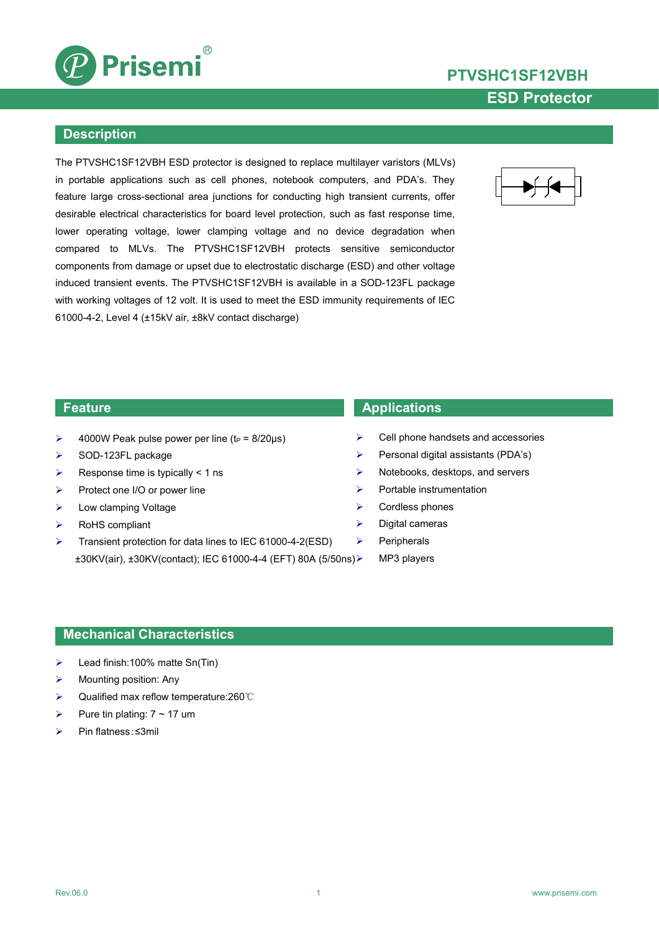

# **PTVSHC1SF12VBH ESD Protector**

### **Description**

The PTVSHC1SF12VBH ESD protector is designed to replace multilayer varistors (MLVs) in portable applications such as cell phones, notebook computers, and PDA's. They feature large cross-sectional area junctions for conducting high transient currents, offer desirable electrical characteristics for board level protection, such as fast response time, lower operating voltage, lower clamping voltage and no device degradation when compared to MLVs. The PTVSHC1SF12VBH protects sensitive semiconductor components from damage or upset due to electrostatic discharge (ESD) and other voltage induced transient events. The PTVSHC1SF12VBH is available in a SOD-123FL package with working voltages of 12 volt. It is used to meet the ESD immunity requirements of IEC 61000-4-2, Level 4 (±15kV air, ±8kV contact discharge)



- $\triangleright$  4000W Peak pulse power per line (t<sub>P</sub> = 8/20µs)
- $\triangleright$  SOD-123FL package
- $\triangleright$  Response time is typically < 1 ns
- Protect one I/O or power line
- Low clamping Voltage
- $\triangleright$  RoHS compliant
- Transient protection for data lines to IEC 61000-4-2(ESD)  $\rightarrow$ ±30KV(air), ±30KV(contact); IEC 61000-4-4 (EFT) 80A (5/50ns)

### **Feature Applications**

- Cell phone handsets and accessories
- $\triangleright$  Personal digital assistants (PDA's)
- $\triangleright$  Notebooks, desktops, and servers
- $\triangleright$  Portable instrumentation
- $\triangleright$  Cordless phones
- $\triangleright$  Digital cameras
	- Peripherals
	- MP3 players

### **Mechanical Characteristics**

- $\triangleright$  Lead finish:100% matte Sn(Tin)
- Mounting position: Any
- Qualified max reflow temperature:260℃
- Pure tin plating:  $7 \sim 17$  um
- Pin flatness:≤3mil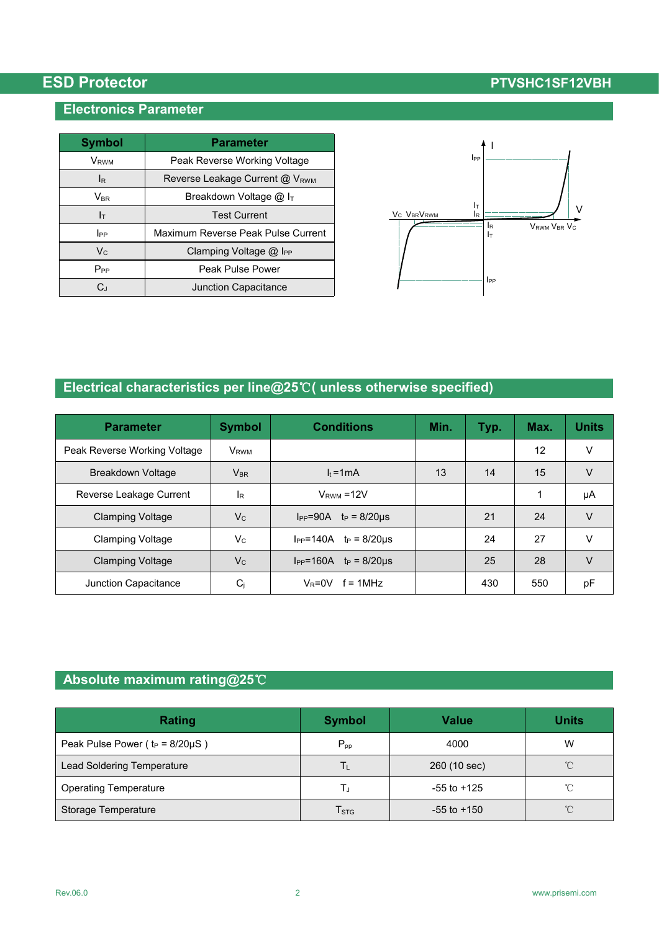### **Electronics Parameter**

| <b>Symbol</b>    | <b>Parameter</b>                     |                                                             |
|------------------|--------------------------------------|-------------------------------------------------------------|
| V <sub>RWM</sub> | Peak Reverse Working Voltage         | $_{\rm lPP}$                                                |
| I <sub>R</sub>   | Reverse Leakage Current @ VRWM       |                                                             |
| <b>VBR</b>       | Breakdown Voltage $@$ I <sub>T</sub> |                                                             |
| Iт               | <b>Test Current</b>                  | Iт<br>V <sub>C</sub> V <sub>BR</sub> V <sub>RWM</sub><br>ΙR |
| $_{\rm lpp}$     | Maximum Reverse Peak Pulse Current   |                                                             |
| $V_C$            | Clamping Voltage @ I <sub>PP</sub>   |                                                             |
| $P_{PP}$         | Peak Pulse Power                     |                                                             |
| CJ               | Junction Capacitance                 |                                                             |



# **Electrical characteristics per line@25**℃**( unless otherwise specified)**

| <b>Parameter</b>             | <b>Symbol</b>           | <b>Conditions</b>                  | Min. | Typ. | Max. | <b>Units</b> |
|------------------------------|-------------------------|------------------------------------|------|------|------|--------------|
| Peak Reverse Working Voltage | <b>V</b> <sub>RWM</sub> |                                    |      |      | 12   | V            |
| <b>Breakdown Voltage</b>     | <b>V<sub>BR</sub></b>   | $I_t = 1mA$                        | 13   | 14   | 15   | V            |
| Reverse Leakage Current      | <b>I</b> R              | $V_{RWM} = 12V$                    |      |      |      | μA           |
| <b>Clamping Voltage</b>      | $V_{C}$                 | $I_{PP} = 90A$ $t_P = 8/20\mu s$   |      | 21   | 24   | V            |
| <b>Clamping Voltage</b>      | $V_{C}$                 | $I_{PP} = 140A$ $t_P = 8/20 \mu s$ |      | 24   | 27   | V            |
| <b>Clamping Voltage</b>      | $V_C$                   | $I_{PP} = 160A$ $t_P = 8/20\mu s$  |      | 25   | 28   | V            |
| Junction Capacitance         | $C_j$                   | $V_R = 0V$ f = 1MHz                |      | 430  | 550  | pF           |

## **Absolute maximum rating@25**℃

| <b>Rating</b>                          | <b>Symbol</b>               | <b>Value</b>    | <b>Units</b> |
|----------------------------------------|-----------------------------|-----------------|--------------|
| Peak Pulse Power ( $t_P = 8/20\mu S$ ) | $P_{pp}$                    | 4000            | W            |
| Lead Soldering Temperature             | Tι                          | 260 (10 sec)    | $^{\circ}$ C |
| <b>Operating Temperature</b>           | ТJ                          | $-55$ to $+125$ | $^{\circ}$ C |
| Storage Temperature                    | $\mathsf{T}_{\textsf{STG}}$ | $-55$ to $+150$ | $^{\circ}$ C |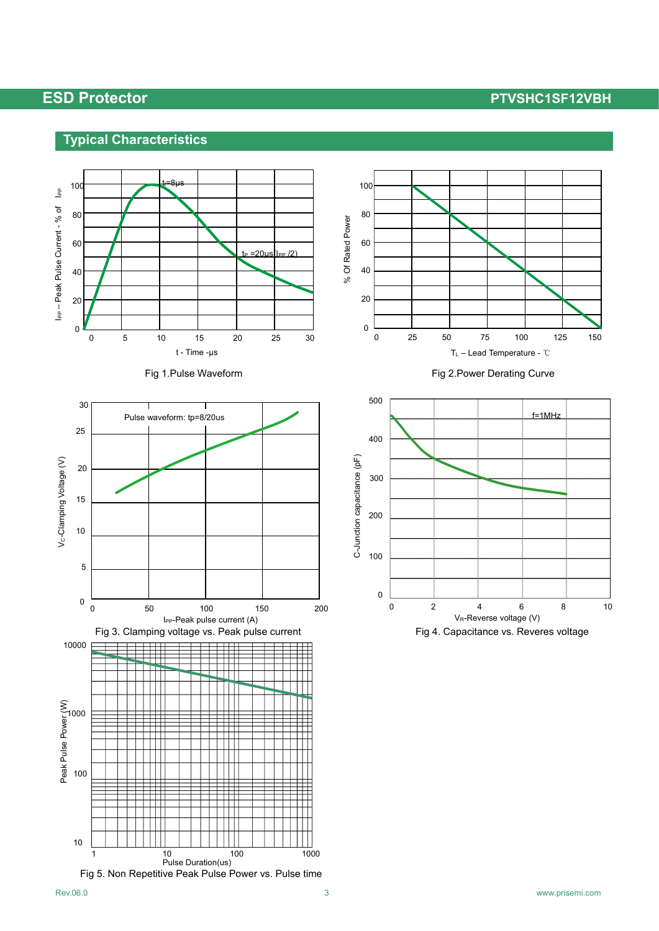## **Typical Characteristics**









Fig 1.Pulse Waveform **Fig 2.Power Derating Curve** 

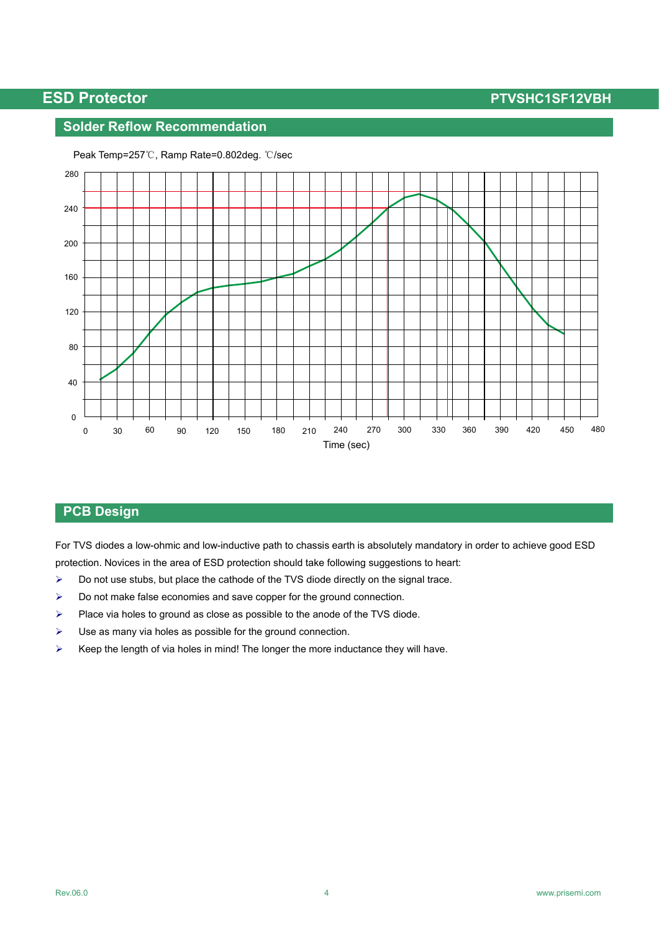## **Solder Reflow Recommendation**



Peak Temp=257℃, Ramp Rate=0.802deg. ℃/sec

### **PCB Design**

For TVS diodes a low-ohmic and low-inductive path to chassis earth is absolutely mandatory in order to achieve good ESD protection. Novices in the area of ESD protection should take following suggestions to heart:

- $\triangleright$  Do not use stubs, but place the cathode of the TVS diode directly on the signal trace.
- $\triangleright$  Do not make false economies and save copper for the ground connection.
- $\triangleright$  Place via holes to ground as close as possible to the anode of the TVS diode.
- $\triangleright$  Use as many via holes as possible for the ground connection.
- $\triangleright$  Keep the length of via holes in mind! The longer the more inductance they will have.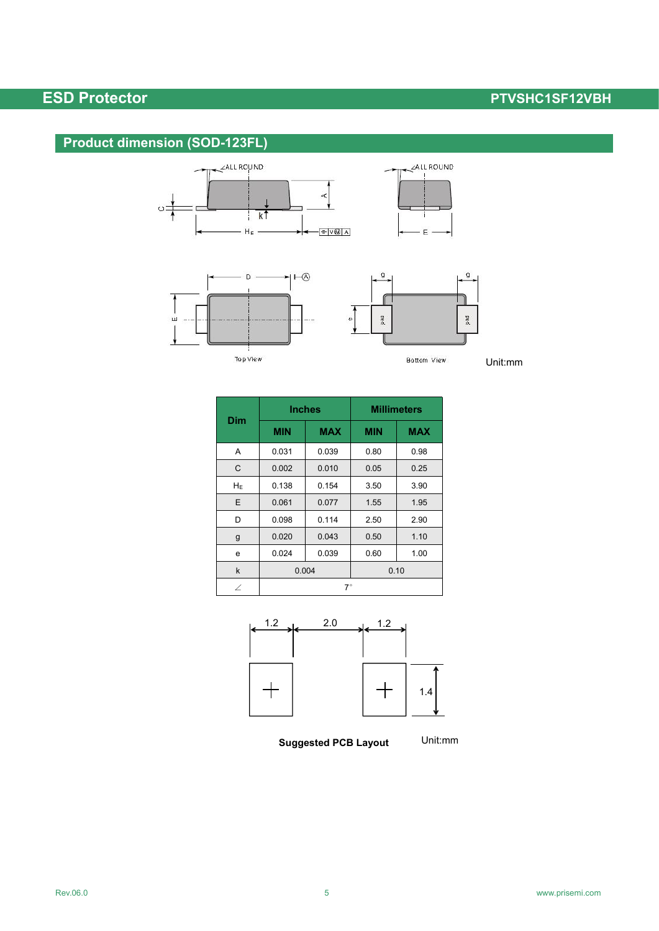# **Product dimension (SOD-123FL)**









ALLROUND

 $E$ 

Bottom View

Unit:mm

|              | <b>Inches</b> |            | <b>Millimeters</b> |            |  |
|--------------|---------------|------------|--------------------|------------|--|
| <b>Dim</b>   | <b>MIN</b>    | <b>MAX</b> | <b>MIN</b>         | <b>MAX</b> |  |
| Α            | 0.031         | 0.039      | 0.80               | 0.98       |  |
| $\mathsf{C}$ | 0.002         | 0.010      | 0.05               | 0.25       |  |
| $H_E$        | 0.138         | 0.154      | 3.50               | 3.90       |  |
| E            | 0.061         | 0.077      | 1.55               | 1.95       |  |
| D            | 0.098         | 0.114      | 2.50               | 2.90       |  |
| g            | 0.020         | 0.043      | 0.50               | 1.10       |  |
| e            | 0.024         | 0.039      | 0.60               | 1.00       |  |
| k            | 0.004         |            | 0.10               |            |  |
| ∠            | $7^\circ$     |            |                    |            |  |





**Suggested PCB Layout**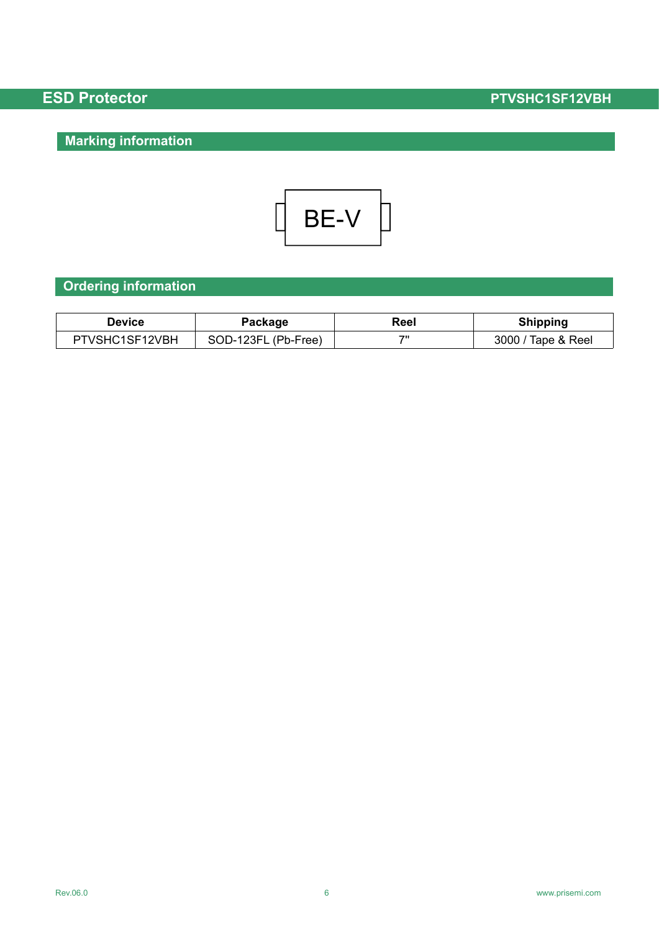# **Marking information**



# **Ordering information**

| <b>Device</b>  | Package                             | Reel | Shipping            |
|----------------|-------------------------------------|------|---------------------|
| PTVSHC1SF12VBH | SOD-123FL<br>$\mathsf{L}$ (Pb-Free) | 71   | 3000<br>Tape & Reel |